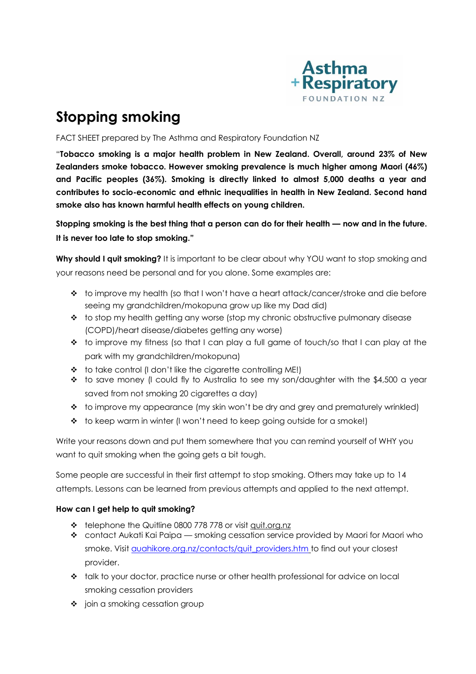

# **Stopping smoking**

FACT SHEET prepared by The Asthma and Respiratory Foundation NZ

"**Tobacco smoking is a major health problem in New Zealand. Overall, around 23% of New Zealanders smoke tobacco. However smoking prevalence is much higher among Maori (46%) and Pacific peoples (36%). Smoking is directly linked to almost 5,000 deaths a year and contributes to socio-economic and ethnic inequalities in health in New Zealand. Second hand smoke also has known harmful health effects on young children.**

**Stopping smoking is the best thing that a person can do for their health — now and in the future. It is never too late to stop smoking."**

**Why should I quit smoking?** It is important to be clear about why YOU want to stop smoking and your reasons need be personal and for you alone. Some examples are:

- $\bullet$  to improve my health (so that I won't have a heart attack/cancer/stroke and die before seeing my grandchildren/mokopuna grow up like my Dad did)
- $\bullet$  to stop my health getting any worse (stop my chronic obstructive pulmonary disease (COPD)/heart disease/diabetes getting any worse)
- $\bullet$  to improve my fitness (so that I can play a full game of touch/so that I can play at the park with my grandchildren/mokopuna)
- $\triangle$  to take control (I don't like the cigarette controlling ME!)
- $\div$  to save money (I could fly to Australia to see my son/daughter with the \$4,500 a year saved from not smoking 20 cigarettes a day)
- $\bullet$  to improve my appearance (my skin won't be dry and grey and prematurely wrinkled)
- $\div$  to keep warm in winter (I won't need to keep going outside for a smoke!)

Write your reasons down and put them somewhere that you can remind yourself of WHY you want to quit smoking when the going gets a bit tough.

Some people are successful in their first attempt to stop smoking. Others may take up to 14 attempts. Lessons can be learned from previous attempts and applied to the next attempt.

# **How can I get help to quit smoking?**

- telephone the Quitline 0800 778 778 or visit [quit.org.nz](http://www.quit.org.nz/)
- contact Aukati Kai Paipa smoking cessation service provided by Maori for Maori who smoke. Visit [auahikore.org.nz/contacts/quit\\_providers.htm](http://www.auahikore.org.nz/contacts/quit_providers.htm) to find out your closest provider.
- \* talk to your doctor, practice nurse or other health professional for advice on local smoking cessation providers
- $\div$  join a smoking cessation group